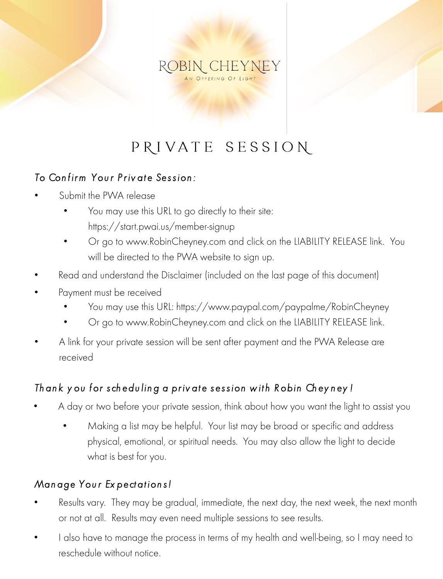## ROBIN CHEYNEY

### PRIVATE SESSION

#### *To Con fir m You r P r iv at e Ses s ion :*

- Submit the PWA release
	- You may use this URL to go directly to their site: https://start.pwai.us/member-signup
	- Or go to www.RobinCheyney.com and click on the LIABILITY RELEASE link. You will be directed to the PWA website to sign up.
- Read and understand the Disclaimer (included on the last page of this document)
- Payment must be received
	- You may use this URL: https://www.paypal.com/paypalme/RobinCheyney
	- Or go to www.RobinCheyney.com and click on the LIABILITY RELEASE link.
- A link for your private session will be sent after payment and the PWA Release are received

#### *Th an k y ou for s ch edu lin g a pr iv at e s es s ion w it h R obin Ch ey n ey !*

- A day or two before your private session, think about how you want the light to assist you
	- Making a list may be helpful. Your list may be broad or specific and address physical, emotional, or spiritual needs. You may also allow the light to decide what is best for you.

#### *Man age You r Ex pect at ion s !*

- Results vary. They may be gradual, immediate, the next day, the next week, the next month or not at all. Results may even need multiple sessions to see results.
- I also have to manage the process in terms of my health and well-being, so I may need to reschedule without notice.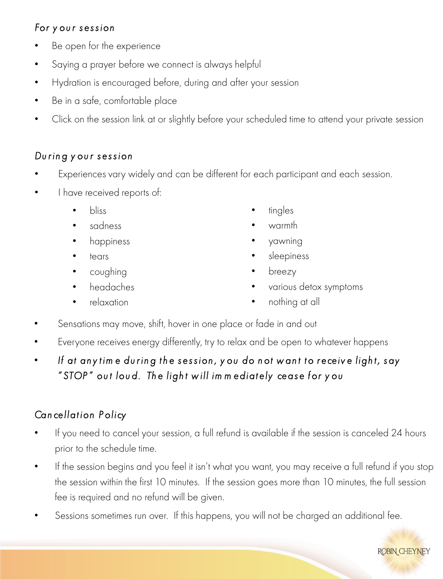#### *For y ou r s es s ion*

- Be open for the experience
- Saying a prayer before we connect is always helpful
- Hydration is encouraged before, during and after your session
- Be in a safe, comfortable place
- Click on the session link at or slightly before your scheduled time to attend your private session

#### *Du r in g y ou r s es s ion*

- Experiences vary widely and can be different for each participant and each session.
- I have received reports of:
	- bliss
	- sadness
	- happiness
	- tears
	- coughing
	- headaches
	- relaxation
- tingles
- warmth
- yawning
- sleepiness
- breezy
- various detox symptoms
- nothing at all
- Sensations may move, shift, hover in one place or fade in and out
- Everyone receives energy differently, try to relax and be open to whatever happens
- If at any time during the session, you do not want to receive light, say *" STOP " ou t lou d. Th e ligh t w ill im m ediat ely ceas e for y ou*

### *Can cellat ion P olicy*

- If you need to cancel your session, a full refund is available if the session is canceled 24 hours prior to the schedule time.
- If the session begins and you feel it isn't what you want, you may receive a full refund if you stop the session within the first 10 minutes. If the session goes more than 10 minutes, the full session fee is required and no refund will be given.
- Sessions sometimes run over. If this happens, you will not be charged an additional fee.